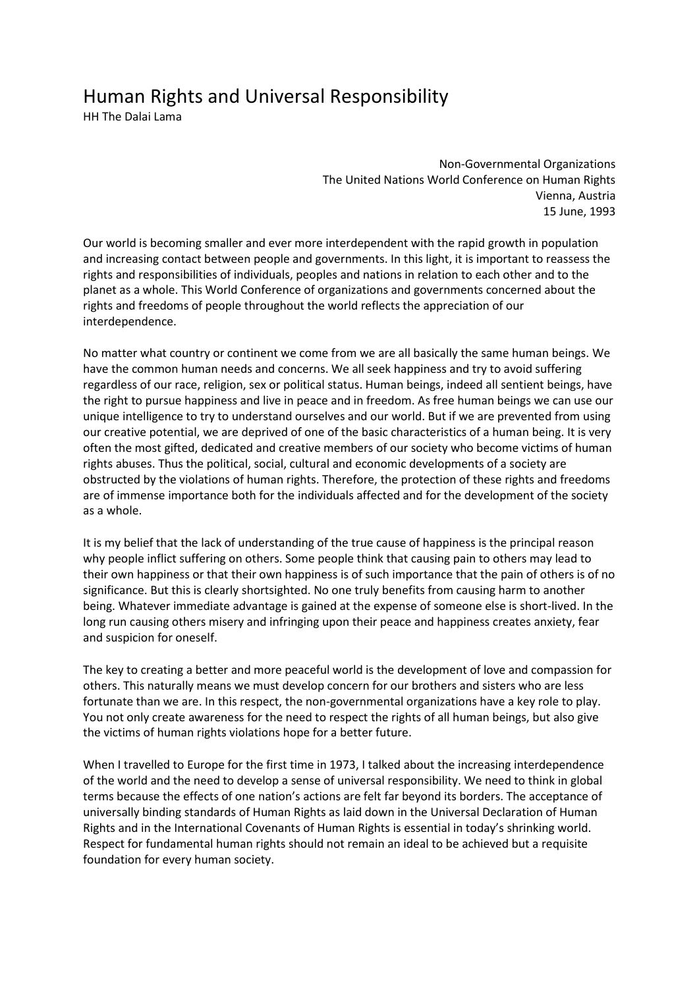## Human Rights and Universal Responsibility

HH The Dalai Lama

Non-Governmental Organizations The United Nations World Conference on Human Rights Vienna, Austria 15 June, 1993

Our world is becoming smaller and ever more interdependent with the rapid growth in population and increasing contact between people and governments. In this light, it is important to reassess the rights and responsibilities of individuals, peoples and nations in relation to each other and to the planet as a whole. This World Conference of organizations and governments concerned about the rights and freedoms of people throughout the world reflects the appreciation of our interdependence.

No matter what country or continent we come from we are all basically the same human beings. We have the common human needs and concerns. We all seek happiness and try to avoid suffering regardless of our race, religion, sex or political status. Human beings, indeed all sentient beings, have the right to pursue happiness and live in peace and in freedom. As free human beings we can use our unique intelligence to try to understand ourselves and our world. But if we are prevented from using our creative potential, we are deprived of one of the basic characteristics of a human being. It is very often the most gifted, dedicated and creative members of our society who become victims of human rights abuses. Thus the political, social, cultural and economic developments of a society are obstructed by the violations of human rights. Therefore, the protection of these rights and freedoms are of immense importance both for the individuals affected and for the development of the society as a whole.

It is my belief that the lack of understanding of the true cause of happiness is the principal reason why people inflict suffering on others. Some people think that causing pain to others may lead to their own happiness or that their own happiness is of such importance that the pain of others is of no significance. But this is clearly shortsighted. No one truly benefits from causing harm to another being. Whatever immediate advantage is gained at the expense of someone else is short-lived. In the long run causing others misery and infringing upon their peace and happiness creates anxiety, fear and suspicion for oneself.

The key to creating a better and more peaceful world is the development of love and compassion for others. This naturally means we must develop concern for our brothers and sisters who are less fortunate than we are. In this respect, the non-governmental organizations have a key role to play. You not only create awareness for the need to respect the rights of all human beings, but also give the victims of human rights violations hope for a better future.

When I travelled to Europe for the first time in 1973, I talked about the increasing interdependence of the world and the need to develop a sense of universal responsibility. We need to think in global terms because the effects of one nation's actions are felt far beyond its borders. The acceptance of universally binding standards of Human Rights as laid down in the Universal Declaration of Human Rights and in the International Covenants of Human Rights is essential in today's shrinking world. Respect for fundamental human rights should not remain an ideal to be achieved but a requisite foundation for every human society.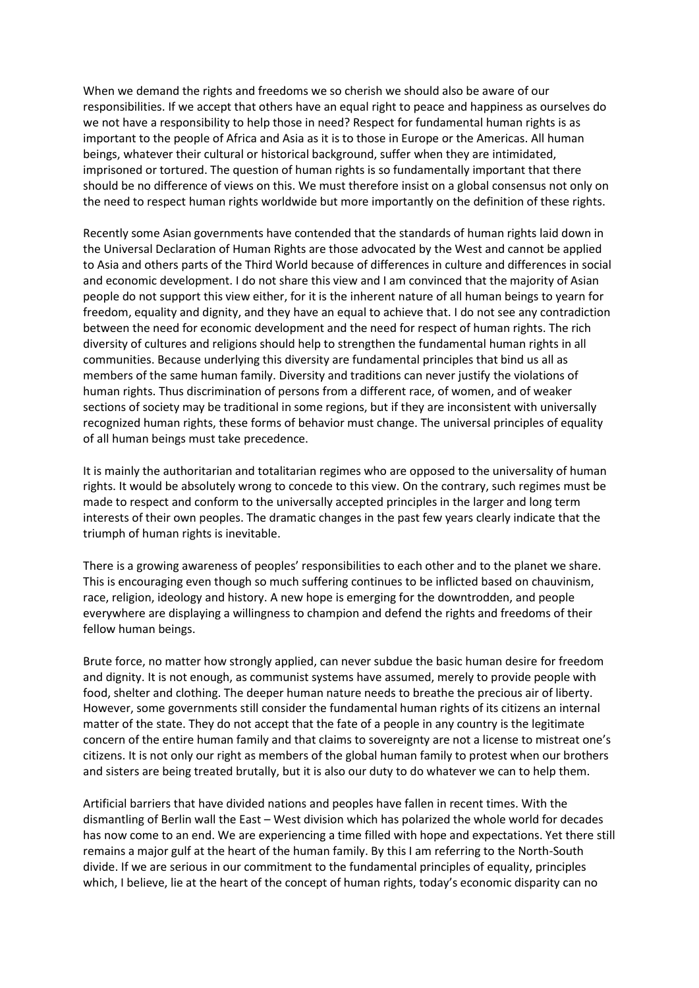When we demand the rights and freedoms we so cherish we should also be aware of our responsibilities. If we accept that others have an equal right to peace and happiness as ourselves do we not have a responsibility to help those in need? Respect for fundamental human rights is as important to the people of Africa and Asia as it is to those in Europe or the Americas. All human beings, whatever their cultural or historical background, suffer when they are intimidated, imprisoned or tortured. The question of human rights is so fundamentally important that there should be no difference of views on this. We must therefore insist on a global consensus not only on the need to respect human rights worldwide but more importantly on the definition of these rights.

Recently some Asian governments have contended that the standards of human rights laid down in the Universal Declaration of Human Rights are those advocated by the West and cannot be applied to Asia and others parts of the Third World because of differences in culture and differences in social and economic development. I do not share this view and I am convinced that the majority of Asian people do not support this view either, for it is the inherent nature of all human beings to yearn for freedom, equality and dignity, and they have an equal to achieve that. I do not see any contradiction between the need for economic development and the need for respect of human rights. The rich diversity of cultures and religions should help to strengthen the fundamental human rights in all communities. Because underlying this diversity are fundamental principles that bind us all as members of the same human family. Diversity and traditions can never justify the violations of human rights. Thus discrimination of persons from a different race, of women, and of weaker sections of society may be traditional in some regions, but if they are inconsistent with universally recognized human rights, these forms of behavior must change. The universal principles of equality of all human beings must take precedence.

It is mainly the authoritarian and totalitarian regimes who are opposed to the universality of human rights. It would be absolutely wrong to concede to this view. On the contrary, such regimes must be made to respect and conform to the universally accepted principles in the larger and long term interests of their own peoples. The dramatic changes in the past few years clearly indicate that the triumph of human rights is inevitable.

There is a growing awareness of peoples' responsibilities to each other and to the planet we share. This is encouraging even though so much suffering continues to be inflicted based on chauvinism, race, religion, ideology and history. A new hope is emerging for the downtrodden, and people everywhere are displaying a willingness to champion and defend the rights and freedoms of their fellow human beings.

Brute force, no matter how strongly applied, can never subdue the basic human desire for freedom and dignity. It is not enough, as communist systems have assumed, merely to provide people with food, shelter and clothing. The deeper human nature needs to breathe the precious air of liberty. However, some governments still consider the fundamental human rights of its citizens an internal matter of the state. They do not accept that the fate of a people in any country is the legitimate concern of the entire human family and that claims to sovereignty are not a license to mistreat one's citizens. It is not only our right as members of the global human family to protest when our brothers and sisters are being treated brutally, but it is also our duty to do whatever we can to help them.

Artificial barriers that have divided nations and peoples have fallen in recent times. With the dismantling of Berlin wall the East – West division which has polarized the whole world for decades has now come to an end. We are experiencing a time filled with hope and expectations. Yet there still remains a major gulf at the heart of the human family. By this I am referring to the North-South divide. If we are serious in our commitment to the fundamental principles of equality, principles which, I believe, lie at the heart of the concept of human rights, today's economic disparity can no